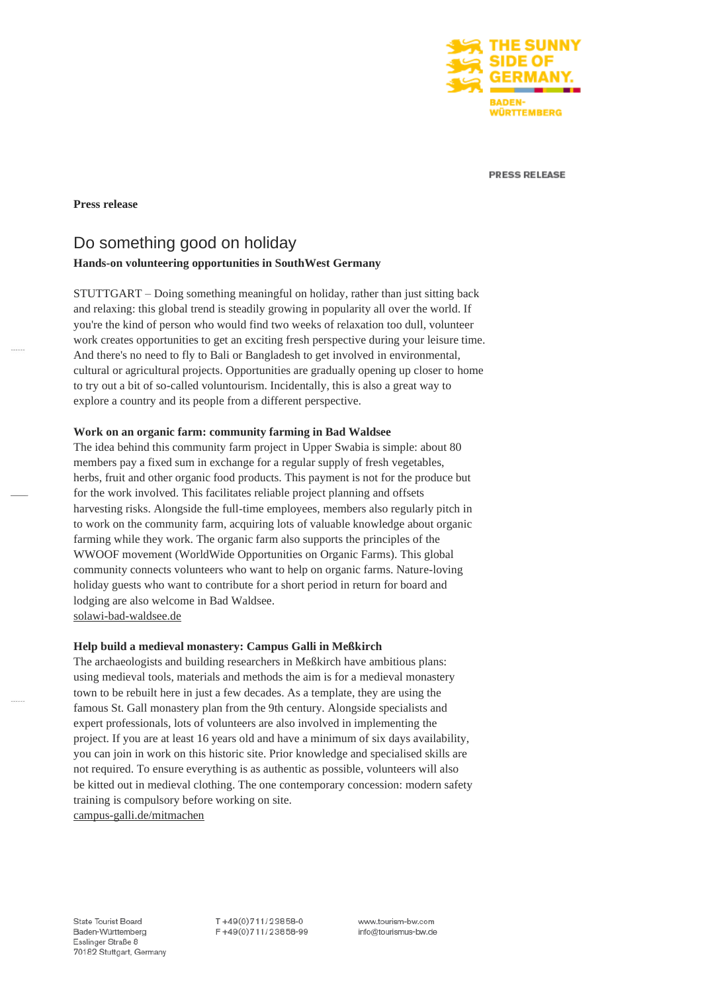

**PRESS RELEASE** 

# **Press release**

# Do something good on holiday

# **Hands-on volunteering opportunities in SouthWest Germany**

STUTTGART – Doing something meaningful on holiday, rather than just sitting back and relaxing: this global trend is steadily growing in popularity all over the world. If you're the kind of person who would find two weeks of relaxation too dull, volunteer work creates opportunities to get an exciting fresh perspective during your leisure time. And there's no need to fly to Bali or Bangladesh to get involved in environmental, cultural or agricultural projects. Opportunities are gradually opening up closer to home to try out a bit of so-called voluntourism. Incidentally, this is also a great way to explore a country and its people from a different perspective.

# **Work on an organic farm: community farming in Bad Waldsee**

The idea behind this community farm project in Upper Swabia is simple: about 80 members pay a fixed sum in exchange for a regular supply of fresh vegetables, herbs, fruit and other organic food products. This payment is not for the produce but for the work involved. This facilitates reliable project planning and offsets harvesting risks. Alongside the full-time employees, members also regularly pitch in to work on the community farm, acquiring lots of valuable knowledge about organic farming while they work. The organic farm also supports the principles of the WWOOF movement (WorldWide Opportunities on Organic Farms). This global community connects volunteers who want to help on organic farms. Nature-loving holiday guests who want to contribute for a short period in return for board and lodging are also welcome in Bad Waldsee. [solawi-bad-waldsee.de](http://www.solawi-bad-waldsee.de/)

### **Help build a medieval monastery: Campus Galli in Meßkirch**

The archaeologists and building researchers in Meßkirch have ambitious plans: using medieval tools, materials and methods the aim is for a medieval monastery town to be rebuilt here in just a few decades. As a template, they are using the famous St. Gall monastery plan from the 9th century. Alongside specialists and expert professionals, lots of volunteers are also involved in implementing the project. If you are at least 16 years old and have a minimum of six days availability, you can join in work on this historic site. Prior knowledge and specialised skills are not required. To ensure everything is as authentic as possible, volunteers will also be kitted out in medieval clothing. The one contemporary concession: modern safety training is compulsory before working on site. [campus-galli.de/mitmachen](https://www.campus-galli.de/mitmachen)

T+49(0)711/23858-0 F+49(0)711/23858-99

www.tourism-bw.com info@tourismus-bw.de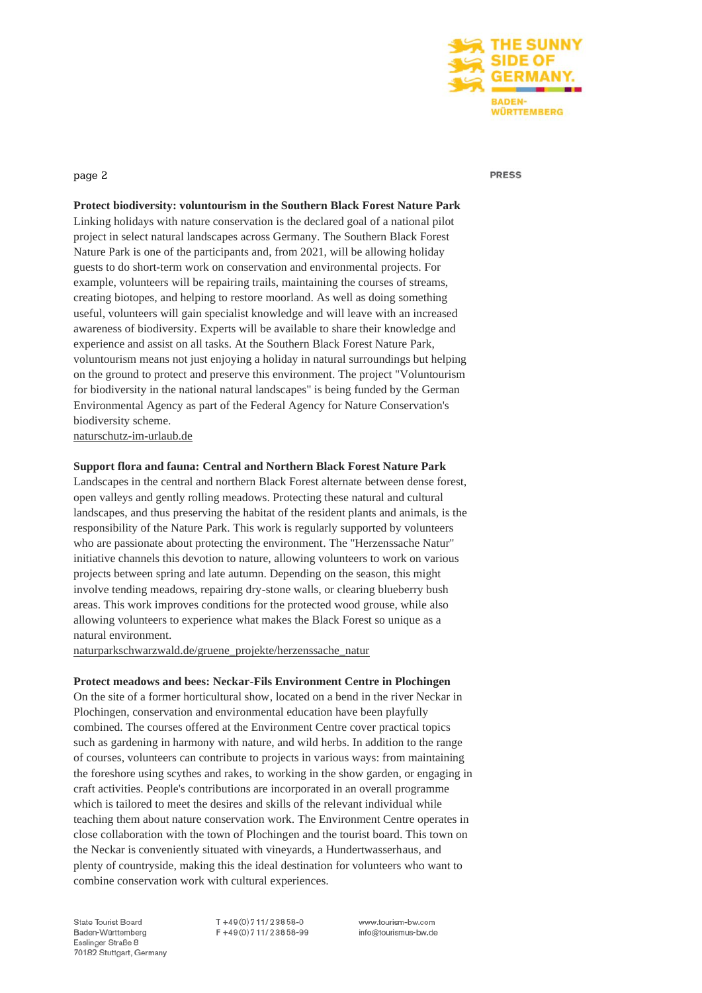

#### **PRESS**

page 2

**Protect biodiversity: voluntourism in the Southern Black Forest Nature Park** Linking holidays with nature conservation is the declared goal of a national pilot project in select natural landscapes across Germany. The Southern Black Forest Nature Park is one of the participants and, from 2021, will be allowing holiday guests to do short-term work on conservation and environmental projects. For example, volunteers will be repairing trails, maintaining the courses of streams, creating biotopes, and helping to restore moorland. As well as doing something useful, volunteers will gain specialist knowledge and will leave with an increased awareness of biodiversity. Experts will be available to share their knowledge and experience and assist on all tasks. At the Southern Black Forest Nature Park, voluntourism means not just enjoying a holiday in natural surroundings but helping on the ground to protect and preserve this environment. The project "Voluntourism for biodiversity in the national natural landscapes" is being funded by the German Environmental Agency as part of the Federal Agency for Nature Conservation's biodiversity scheme.

[naturschutz-im-urlaub.de](http://www.naturschutz-im-urlaub.de/)

# **Support flora and fauna: Central and Northern Black Forest Nature Park**

Landscapes in the central and northern Black Forest alternate between dense forest, open valleys and gently rolling meadows. Protecting these natural and cultural landscapes, and thus preserving the habitat of the resident plants and animals, is the responsibility of the Nature Park. This work is regularly supported by volunteers who are passionate about protecting the environment. The "Herzenssache Natur" initiative channels this devotion to nature, allowing volunteers to work on various projects between spring and late autumn. Depending on the season, this might involve tending meadows, repairing dry-stone walls, or clearing blueberry bush areas. This work improves conditions for the protected wood grouse, while also allowing volunteers to experience what makes the Black Forest so unique as a natural environment.

[naturparkschwarzwald.de/gruene\\_projekte/herzenssache\\_natur](http://www.naturparkschwarzwald.de/gruene_projekte/herzenssache_natur) 

# **Protect meadows and bees: Neckar-Fils Environment Centre in Plochingen**

On the site of a former horticultural show, located on a bend in the river Neckar in Plochingen, conservation and environmental education have been playfully combined. The courses offered at the Environment Centre cover practical topics such as gardening in harmony with nature, and wild herbs. In addition to the range of courses, volunteers can contribute to projects in various ways: from maintaining the foreshore using scythes and rakes, to working in the show garden, or engaging in craft activities. People's contributions are incorporated in an overall programme which is tailored to meet the desires and skills of the relevant individual while teaching them about nature conservation work. The Environment Centre operates in close collaboration with the town of Plochingen and the tourist board. This town on the Neckar is conveniently situated with vineyards, a Hundertwasserhaus, and plenty of countryside, making this the ideal destination for volunteers who want to combine conservation work with cultural experiences.

State Tourist Board Baden-Württemberg Esslinger Straße 8 70182 Stuttgart, Germany  $T + 49(0)711/23858-0$ F+49(0)711/23858-99 www.tourism-bw.com info@tourismus-bw.de